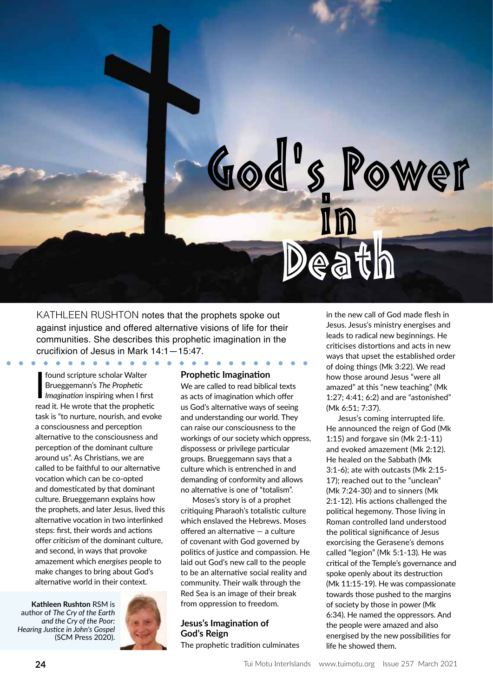

KATHLEEN RUSHTON notes that the prophets spoke out against injustice and offered alternative visions of life for their communities. She describes this prophetic imagination in the crucifixion of Jesus in Mark 14:1—15:47.

found scripture scholar Walter Brueggemann's *The Prophetic Imagination* inspiring when I first read it. He wrote that the prophetic task is "to nurture, nourish, and evoke a consciousness and perception alternative to the consciousness and perception of the dominant culture around us". As Christians, we are called to be faithful to our alternative vocation which can be co-opted and domesticated by that dominant culture. Brueggemann explains how the prophets, and later Jesus, lived this alternative vocation in two interlinked steps: first, their words and actions offer *criticism* of the dominant culture, and second, in ways that provoke amazement which *energises* people to make changes to bring about God's alternative world in their context.

 $\begin{array}{cccccccccccccc} \bullet & \bullet & \bullet & \bullet & \bullet & \bullet \end{array}$ 

**Kathleen Rushton** RSM is author of *The Cry of the Earth and the Cry of the Poor: Hearing Justice in John's Gospel* (SCM Press 2020).



#### **Prophetic Imagination**

We are called to read biblical texts as acts of imagination which offer us God's alternative ways of seeing and understanding our world. They can raise our consciousness to the workings of our society which oppress, dispossess or privilege particular groups. Brueggemann says that a culture which is entrenched in and demanding of conformity and allows no alternative is one of "totalism".

Moses's story is of a prophet critiquing Pharaoh's totalistic culture which enslaved the Hebrews. Moses offered an alternative — a culture of covenant with God governed by politics of justice and compassion. He laid out God's new call to the people to be an alternative social reality and community. Their walk through the Red Sea is an image of their break from oppression to freedom.

# **Jesus's Imagination of God's Reign**

The prophetic tradition culminates

in the new call of God made flesh in Jesus. Jesus's ministry energises and leads to radical new beginnings. He criticises distortions and acts in new ways that upset the established order of doing things (Mk 3:22). We read how those around Jesus "were all amazed" at this "new teaching" (Mk 1:27; 4:41; 6:2) and are "astonished" (Mk 6:51; 7:37).

s Power

Jesus's coming interrupted life. He announced the reign of God (Mk 1:15) and forgave sin (Mk 2:1-11) and evoked amazement (Mk 2:12). He healed on the Sabbath (Mk 3:1-6); ate with outcasts (Mk 2:15- 17); reached out to the "unclean" (Mk 7:24-30) and to sinners (Mk 2:1-12). His actions challenged the political hegemony. Those living in Roman controlled land understood the political significance of Jesus exorcising the Gerasene's demons called "legion" (Mk 5:1-13). He was critical of the Temple's governance and spoke openly about its destruction (Mk 11:15-19). He was compassionate towards those pushed to the margins of society by those in power (Mk 6:34). He named the oppressors. And the people were amazed and also energised by the new possibilities for life he showed them.